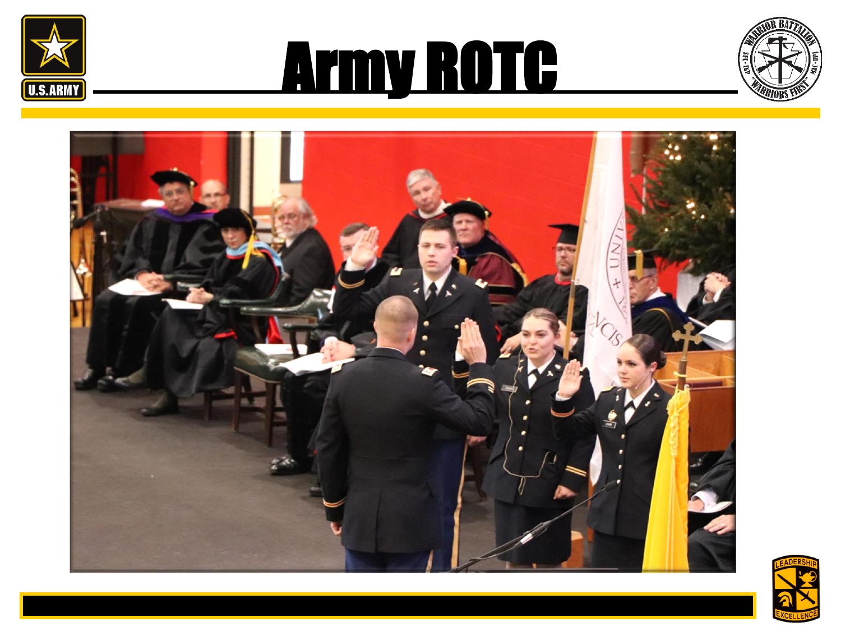

# Army ROTC





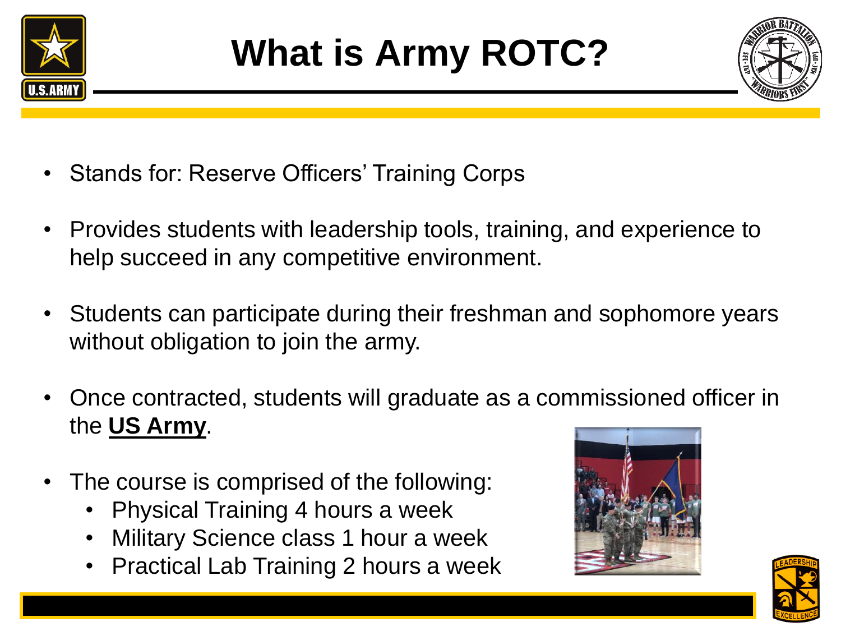



- Stands for: Reserve Officers' Training Corps
- Provides students with leadership tools, training, and experience to help succeed in any competitive environment.
- Students can participate during their freshman and sophomore years without obligation to join the army.
- Once contracted, students will graduate as a commissioned officer in the **US Army**.
- The course is comprised of the following:
	- Physical Training 4 hours a week
	- Military Science class 1 hour a week
	- Practical Lab Training 2 hours a week



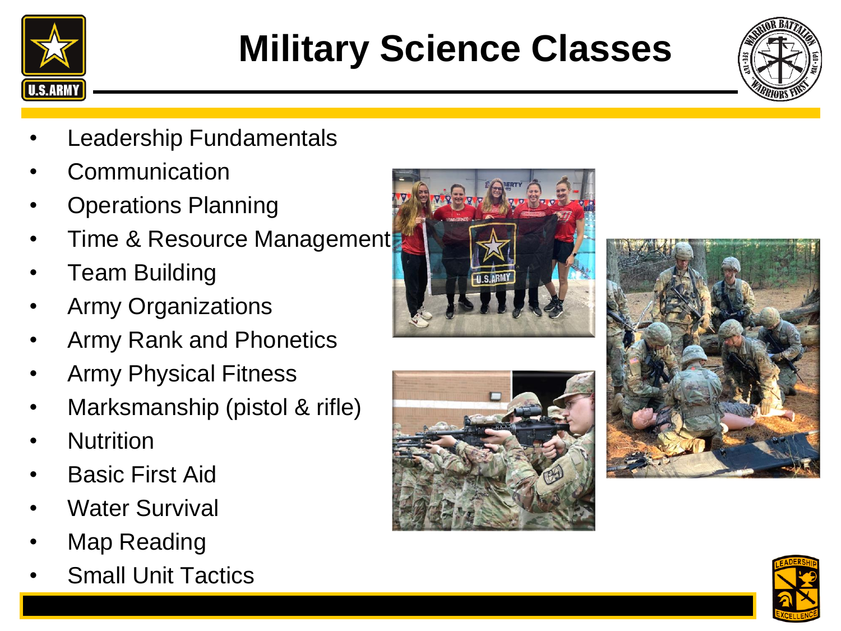

### **Military Science Classes**



- **Leadership Fundamentals**
- **Communication**
- Operations Planning
- Time & Resource Management
- Team Building
- Army Organizations
- Army Rank and Phonetics
- Army Physical Fitness
- Marksmanship (pistol & rifle)
- Nutrition
- Basic First Aid
- Water Survival
- Map Reading
- **Small Unit Tactics**







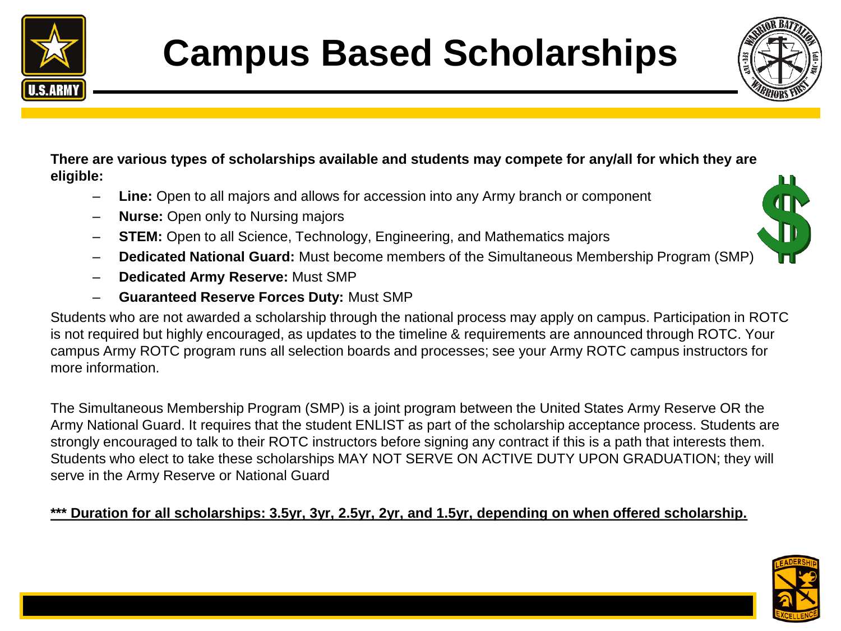



#### **There are various types of scholarships available and students may compete for any/all for which they are eligible:**

- Line: Open to all majors and allows for accession into any Army branch or component
- **Nurse:** Open only to Nursing majors
- **STEM:** Open to all Science, Technology, Engineering, and Mathematics majors
- **Dedicated National Guard:** Must become members of the Simultaneous Membership Program (SMP)
- **Dedicated Army Reserve:** Must SMP
- **Guaranteed Reserve Forces Duty:** Must SMP

Students who are not awarded a scholarship through the national process may apply on campus. Participation in ROTC is not required but highly encouraged, as updates to the timeline & requirements are announced through ROTC. Your campus Army ROTC program runs all selection boards and processes; see your Army ROTC campus instructors for more information.

The Simultaneous Membership Program (SMP) is a joint program between the United States Army Reserve OR the Army National Guard. It requires that the student ENLIST as part of the scholarship acceptance process. Students are strongly encouraged to talk to their ROTC instructors before signing any contract if this is a path that interests them. Students who elect to take these scholarships MAY NOT SERVE ON ACTIVE DUTY UPON GRADUATION; they will serve in the Army Reserve or National Guard

#### **\*\*\* Duration for all scholarships: 3.5yr, 3yr, 2.5yr, 2yr, and 1.5yr, depending on when offered scholarship.**

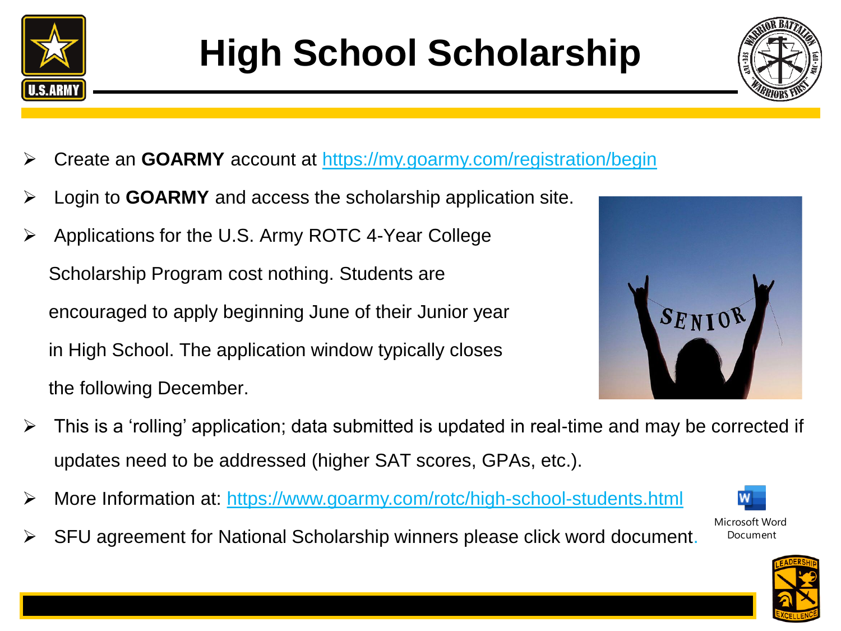



- ➢ Create an **GOARMY** account at <https://my.goarmy.com/registration/begin>
- ➢ Login to **GOARMY** and access the scholarship application site.
- ➢ Applications for the U.S. Army ROTC 4-Year College Scholarship Program cost nothing. Students are encouraged to apply beginning June of their Junior year in High School. The application window typically closes the following December.



- $\triangleright$  This is a 'rolling' application; data submitted is updated in real-time and may be corrected if updates need to be addressed (higher SAT scores, GPAs, etc.).
- ➢ More Information at: <https://www.goarmy.com/rotc/high-school-students.html>



Microsoft Word Document

➢ SFU agreement for National Scholarship winners please click word document.

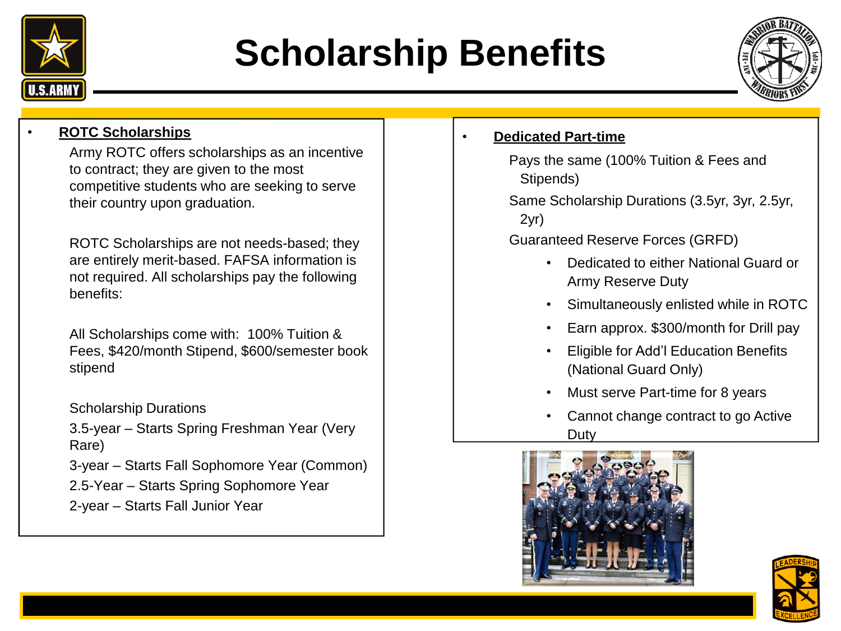

### **Scholarship Benefits**



### • **ROTC Scholarships**

Army ROTC offers scholarships as an incentive to contract; they are given to the most competitive students who are seeking to serve their country upon graduation.

ROTC Scholarships are not needs-based; they are entirely merit-based. FAFSA information is not required. All scholarships pay the following benefits:

All Scholarships come with: 100% Tuition & Fees, \$420/month Stipend, \$600/semester book stipend

Scholarship Durations

3.5-year – Starts Spring Freshman Year (Very Rare)

3-year – Starts Fall Sophomore Year (Common)

2.5-Year – Starts Spring Sophomore Year 2-year – Starts Fall Junior Year

- **Dedicated Part-time**
	- Pays the same (100% Tuition & Fees and Stipends)
	- Same Scholarship Durations (3.5yr, 3yr, 2.5yr, 2yr)
	- Guaranteed Reserve Forces (GRFD)
		- Dedicated to either National Guard or Army Reserve Duty
		- Simultaneously enlisted while in ROTC
		- Earn approx. \$300/month for Drill pay
		- Eligible for Add'l Education Benefits (National Guard Only)
		- Must serve Part-time for 8 years
		- Cannot change contract to go Active Duty



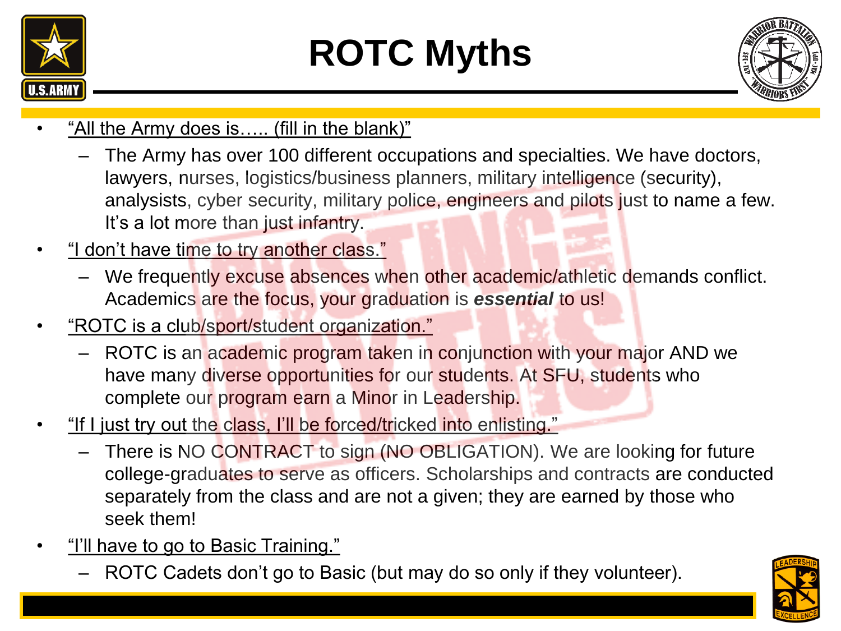

## **ROTC Myths**



- "All the Army does is..... (fill in the blank)"
	- The Army has over 100 different occupations and specialties. We have doctors, lawyers, nurses, logistics/business planners, military intelligence (security), analysists, cyber security, military police, engineers and pilots just to name a few. It's a lot more than just infantry.
- "I don't have time to try another class."
	- We frequently excuse absences when other academic/athletic demands conflict. Academics are the focus, your graduation is *essential* to us!
- "ROTC is a club/sport/student organization."
	- ROTC is an academic program taken in conjunction with your major AND we have many diverse opportunities for our students. At SFU, students who complete our program earn a Minor in Leadership.
- "If I just try out the class, I'll be forced/tricked into enlisting."
	- There is NO CONTRACT to sign (NO OBLIGATION). We are looking for future college-graduates to serve as officers. Scholarships and contracts are conducted separately from the class and are not a given; they are earned by those who seek them!
- <u>"I'll have to go to Basic Training."</u>
	- ROTC Cadets don't go to Basic (but may do so only if they volunteer).